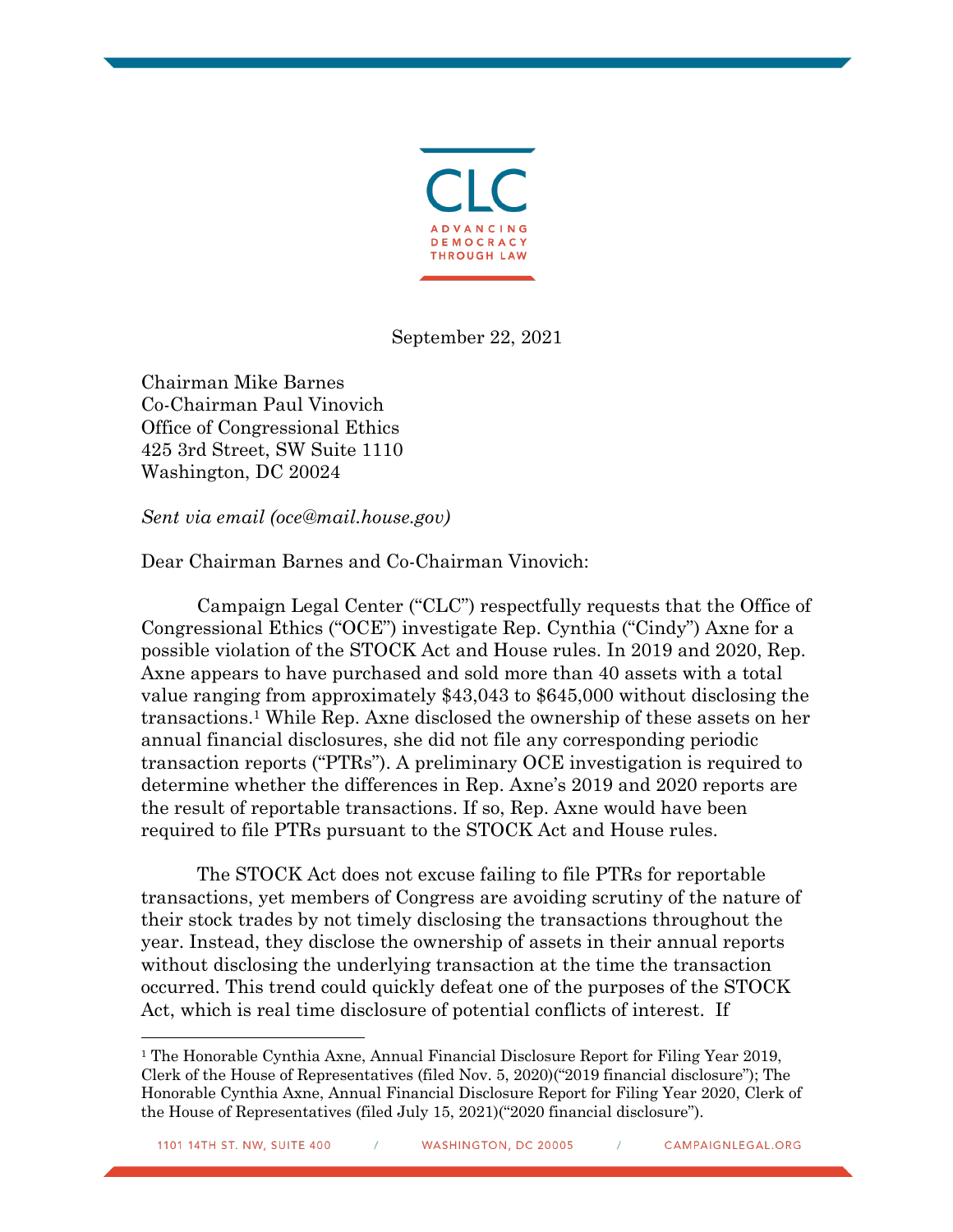

September 22, 2021

Chairman Mike Barnes Co-Chairman Paul Vinovich Office of Congressional Ethics 425 3rd Street, SW Suite 1110 Washington, DC 20024

*Sent via email (oce@mail.house.gov)*

Dear Chairman Barnes and Co-Chairman Vinovich:

Campaign Legal Center ("CLC") respectfully requests that the Office of Congressional Ethics ("OCE") investigate Rep. Cynthia ("Cindy") Axne for a possible violation of the STOCK Act and House rules. In 2019 and 2020, Rep. Axne appears to have purchased and sold more than 40 assets with a total value ranging from approximately \$43,043 to \$645,000 without disclosing the transactions.1 While Rep. Axne disclosed the ownership of these assets on her annual financial disclosures, she did not file any corresponding periodic transaction reports ("PTRs"). A preliminary OCE investigation is required to determine whether the differences in Rep. Axne's 2019 and 2020 reports are the result of reportable transactions. If so, Rep. Axne would have been required to file PTRs pursuant to the STOCK Act and House rules.

The STOCK Act does not excuse failing to file PTRs for reportable transactions, yet members of Congress are avoiding scrutiny of the nature of their stock trades by not timely disclosing the transactions throughout the year. Instead, they disclose the ownership of assets in their annual reports without disclosing the underlying transaction at the time the transaction occurred. This trend could quickly defeat one of the purposes of the STOCK Act, which is real time disclosure of potential conflicts of interest. If

<sup>&</sup>lt;sup>1</sup> The Honorable Cynthia Axne, Annual Financial Disclosure Report for Filing Year 2019, Clerk of the House of Representatives (filed Nov. 5, 2020)("2019 financial disclosure"); The Honorable Cynthia Axne, Annual Financial Disclosure Report for Filing Year 2020, Clerk of the House of Representatives (filed July 15, 2021)("2020 financial disclosure").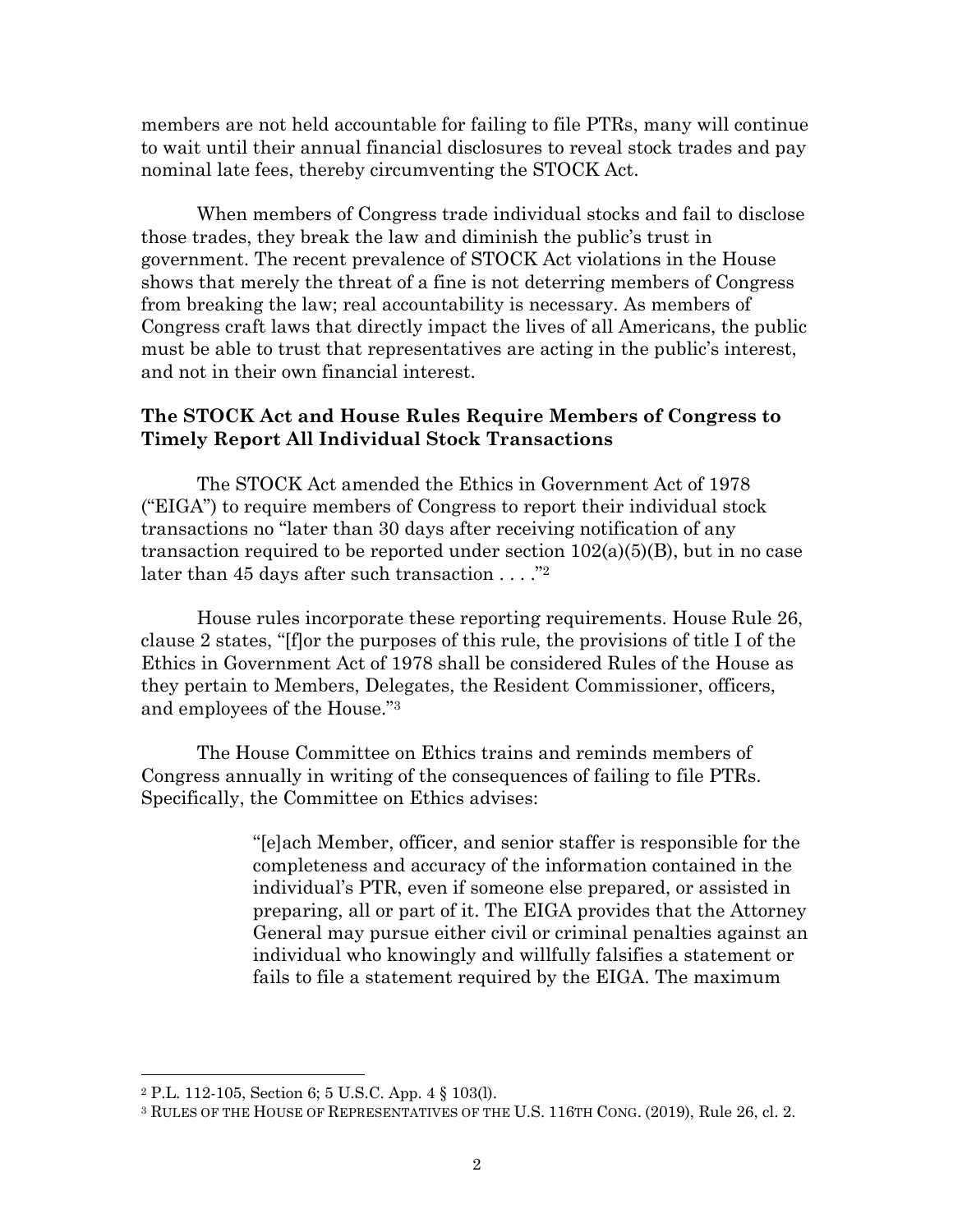members are not held accountable for failing to file PTRs, many will continue to wait until their annual financial disclosures to reveal stock trades and pay nominal late fees, thereby circumventing the STOCK Act.

When members of Congress trade individual stocks and fail to disclose those trades, they break the law and diminish the public's trust in government. The recent prevalence of STOCK Act violations in the House shows that merely the threat of a fine is not deterring members of Congress from breaking the law; real accountability is necessary. As members of Congress craft laws that directly impact the lives of all Americans, the public must be able to trust that representatives are acting in the public's interest, and not in their own financial interest.

## **The STOCK Act and House Rules Require Members of Congress to Timely Report All Individual Stock Transactions**

The STOCK Act amended the Ethics in Government Act of 1978 ("EIGA") to require members of Congress to report their individual stock transactions no "later than 30 days after receiving notification of any transaction required to be reported under section  $102(a)(5)(B)$ , but in no case later than 45 days after such transaction . . . ."<sup>2</sup>

House rules incorporate these reporting requirements. House Rule 26, clause 2 states, "[f]or the purposes of this rule, the provisions of title I of the Ethics in Government Act of 1978 shall be considered Rules of the House as they pertain to Members, Delegates, the Resident Commissioner, officers, and employees of the House."3

The House Committee on Ethics trains and reminds members of Congress annually in writing of the consequences of failing to file PTRs. Specifically, the Committee on Ethics advises:

> "[e]ach Member, officer, and senior staffer is responsible for the completeness and accuracy of the information contained in the individual's PTR, even if someone else prepared, or assisted in preparing, all or part of it. The EIGA provides that the Attorney General may pursue either civil or criminal penalties against an individual who knowingly and willfully falsifies a statement or fails to file a statement required by the EIGA. The maximum

<sup>2</sup> P.L. 112-105, Section 6; 5 U.S.C. App. 4 § 103(l).

<sup>3</sup> RULES OF THE HOUSE OF REPRESENTATIVES OF THE U.S. 116TH CONG. (2019), Rule 26, cl. 2.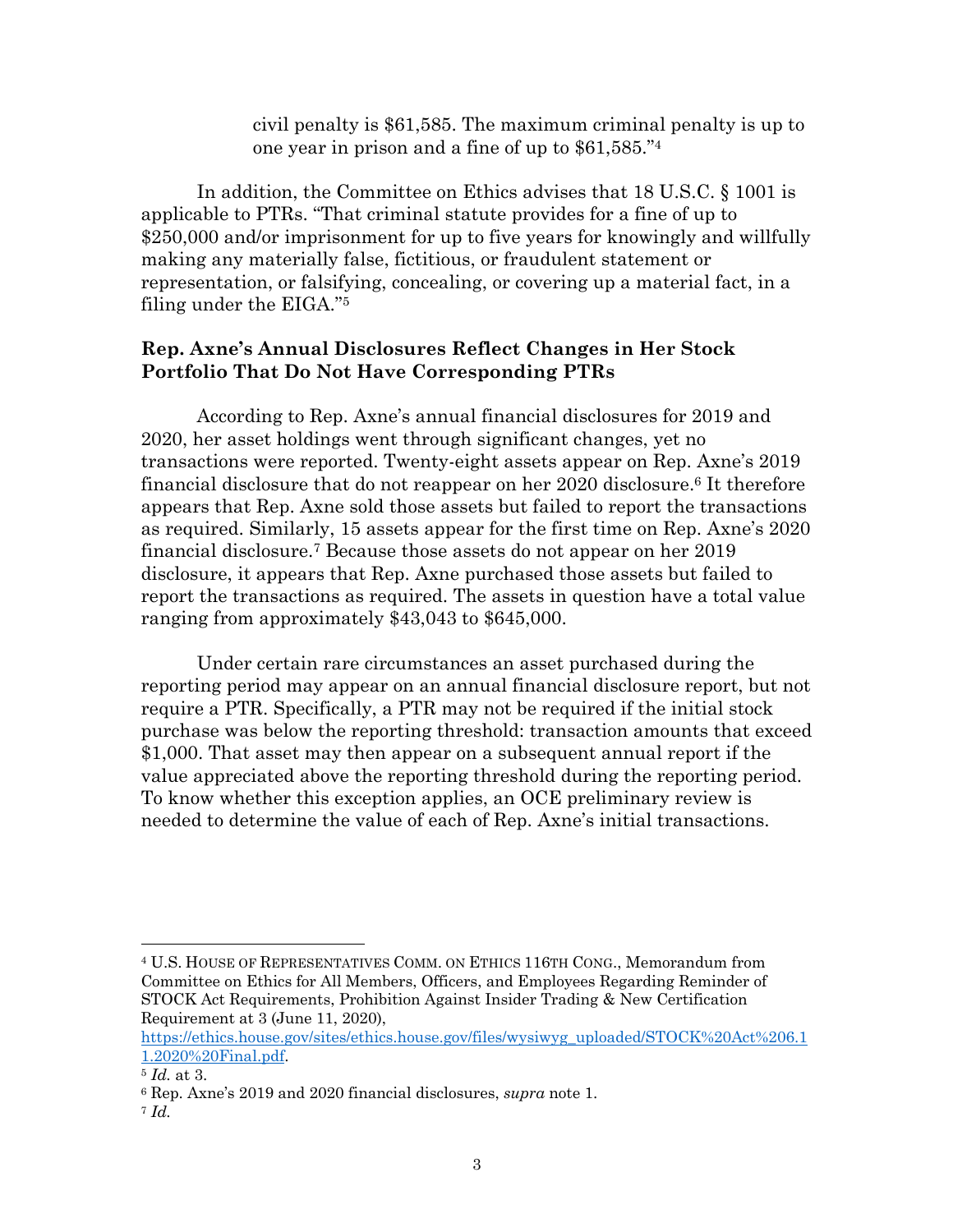civil penalty is \$61,585. The maximum criminal penalty is up to one year in prison and a fine of up to \$61,585."4

In addition, the Committee on Ethics advises that 18 U.S.C. § 1001 is applicable to PTRs. "That criminal statute provides for a fine of up to \$250,000 and/or imprisonment for up to five years for knowingly and willfully making any materially false, fictitious, or fraudulent statement or representation, or falsifying, concealing, or covering up a material fact, in a filing under the EIGA."5

## **Rep. Axne's Annual Disclosures Reflect Changes in Her Stock Portfolio That Do Not Have Corresponding PTRs**

According to Rep. Axne's annual financial disclosures for 2019 and 2020, her asset holdings went through significant changes, yet no transactions were reported. Twenty-eight assets appear on Rep. Axne's 2019 financial disclosure that do not reappear on her 2020 disclosure.6 It therefore appears that Rep. Axne sold those assets but failed to report the transactions as required. Similarly, 15 assets appear for the first time on Rep. Axne's 2020 financial disclosure.7 Because those assets do not appear on her 2019 disclosure, it appears that Rep. Axne purchased those assets but failed to report the transactions as required. The assets in question have a total value ranging from approximately \$43,043 to \$645,000.

Under certain rare circumstances an asset purchased during the reporting period may appear on an annual financial disclosure report, but not require a PTR. Specifically, a PTR may not be required if the initial stock purchase was below the reporting threshold: transaction amounts that exceed \$1,000. That asset may then appear on a subsequent annual report if the value appreciated above the reporting threshold during the reporting period. To know whether this exception applies, an OCE preliminary review is needed to determine the value of each of Rep. Axne's initial transactions.

<sup>4</sup> U.S. HOUSE OF REPRESENTATIVES COMM. ON ETHICS 116TH CONG., Memorandum from Committee on Ethics for All Members, Officers, and Employees Regarding Reminder of STOCK Act Requirements, Prohibition Against Insider Trading & New Certification Requirement at 3 (June 11, 2020),

https://ethics.house.gov/sites/ethics.house.gov/files/wysiwyg\_uploaded/STOCK%20Act%206.1 1.2020%20Final.pdf.

<sup>5</sup> *Id.* at 3.

<sup>6</sup> Rep. Axne's 2019 and 2020 financial disclosures, *supra* note 1.

<sup>7</sup> *Id.*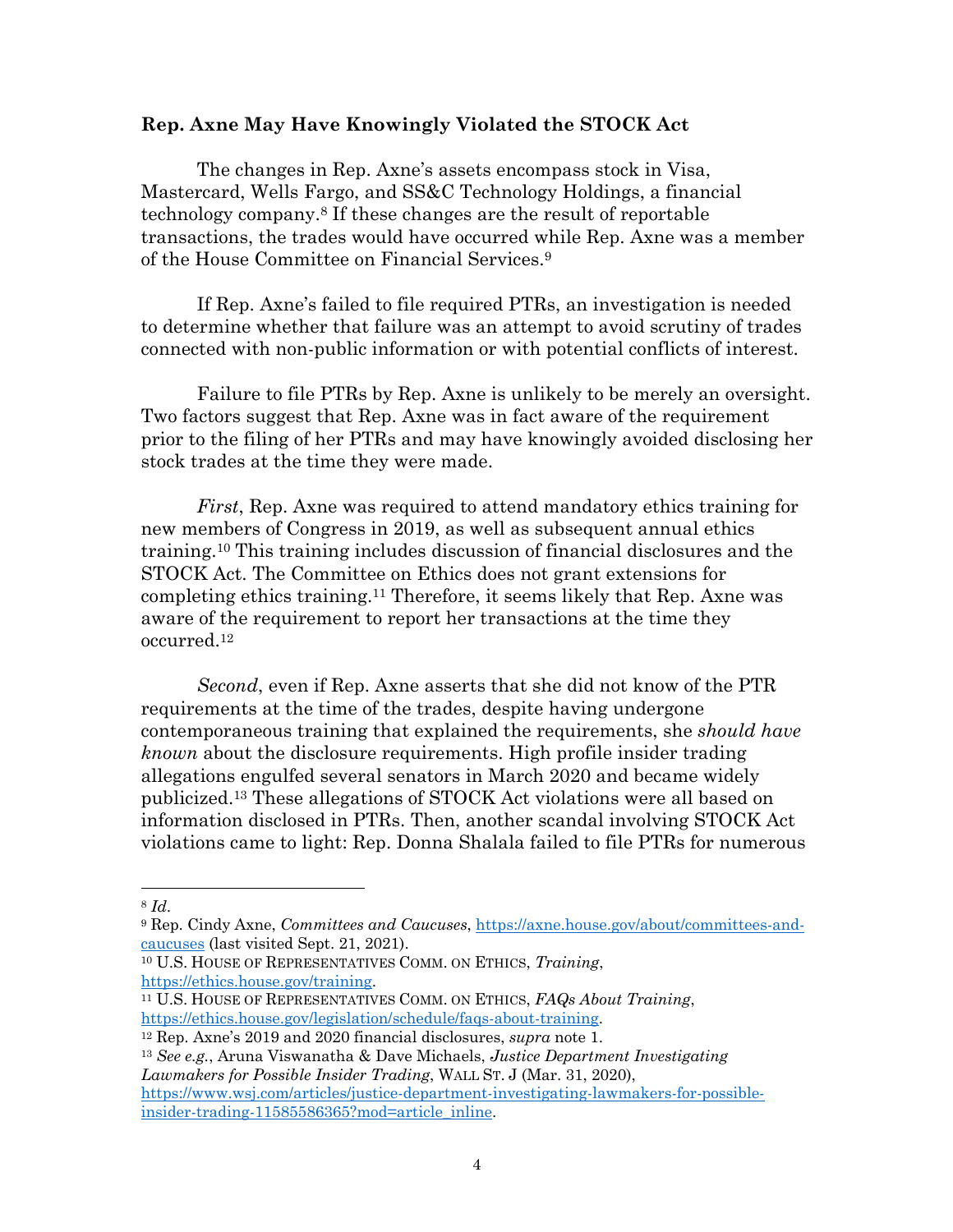## **Rep. Axne May Have Knowingly Violated the STOCK Act**

The changes in Rep. Axne's assets encompass stock in Visa, Mastercard, Wells Fargo, and SS&C Technology Holdings, a financial technology company.8 If these changes are the result of reportable transactions, the trades would have occurred while Rep. Axne was a member of the House Committee on Financial Services.9

If Rep. Axne's failed to file required PTRs, an investigation is needed to determine whether that failure was an attempt to avoid scrutiny of trades connected with non-public information or with potential conflicts of interest.

Failure to file PTRs by Rep. Axne is unlikely to be merely an oversight. Two factors suggest that Rep. Axne was in fact aware of the requirement prior to the filing of her PTRs and may have knowingly avoided disclosing her stock trades at the time they were made.

*First*, Rep. Axne was required to attend mandatory ethics training for new members of Congress in 2019, as well as subsequent annual ethics training.10 This training includes discussion of financial disclosures and the STOCK Act. The Committee on Ethics does not grant extensions for completing ethics training.11 Therefore, it seems likely that Rep. Axne was aware of the requirement to report her transactions at the time they occurred.12

*Second*, even if Rep. Axne asserts that she did not know of the PTR requirements at the time of the trades, despite having undergone contemporaneous training that explained the requirements, she *should have known* about the disclosure requirements. High profile insider trading allegations engulfed several senators in March 2020 and became widely publicized.13 These allegations of STOCK Act violations were all based on information disclosed in PTRs. Then, another scandal involving STOCK Act violations came to light: Rep. Donna Shalala failed to file PTRs for numerous

<sup>13</sup> *See e.g.*, Aruna Viswanatha & Dave Michaels, *Justice Department Investigating Lawmakers for Possible Insider Trading*, WALL ST. J (Mar. 31, 2020), https://www.wsj.com/articles/justice-department-investigating-lawmakers-for-possibleinsider-trading-11585586365?mod=article\_inline.

<sup>8</sup> *Id*.

<sup>9</sup> Rep. Cindy Axne, *Committees and Caucuses*, https://axne.house.gov/about/committees-andcaucuses (last visited Sept. 21, 2021).

<sup>10</sup> U.S. HOUSE OF REPRESENTATIVES COMM. ON ETHICS, *Training*,

https://ethics.house.gov/training. 11 U.S. HOUSE OF REPRESENTATIVES COMM. ON ETHICS, *FAQs About Training*, https://ethics.house.gov/legislation/schedule/faqs-about-training.

<sup>12</sup> Rep. Axne's 2019 and 2020 financial disclosures, *supra* note 1.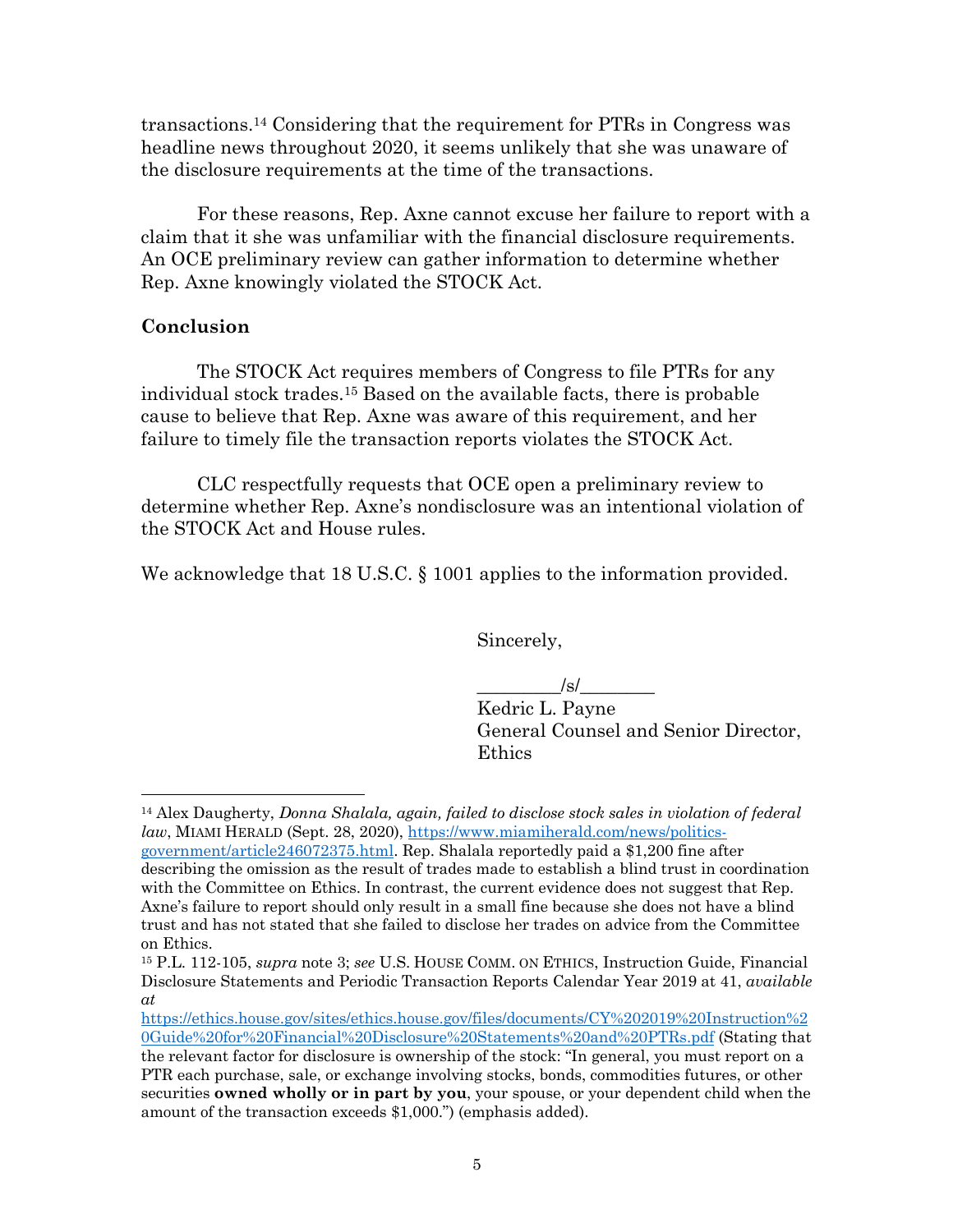transactions.14 Considering that the requirement for PTRs in Congress was headline news throughout 2020, it seems unlikely that she was unaware of the disclosure requirements at the time of the transactions.

 For these reasons, Rep. Axne cannot excuse her failure to report with a claim that it she was unfamiliar with the financial disclosure requirements. An OCE preliminary review can gather information to determine whether Rep. Axne knowingly violated the STOCK Act.

## **Conclusion**

The STOCK Act requires members of Congress to file PTRs for any individual stock trades.15 Based on the available facts, there is probable cause to believe that Rep. Axne was aware of this requirement, and her failure to timely file the transaction reports violates the STOCK Act.

CLC respectfully requests that OCE open a preliminary review to determine whether Rep. Axne's nondisclosure was an intentional violation of the STOCK Act and House rules.

We acknowledge that 18 U.S.C. § 1001 applies to the information provided.

Sincerely,

 $\frac{1}{s}$ /s/ $\frac{1}{s}$ 

Kedric L. Payne General Counsel and Senior Director, Ethics

<sup>14</sup> Alex Daugherty, *Donna Shalala, again, failed to disclose stock sales in violation of federal law*, MIAMI HERALD (Sept. 28, 2020), https://www.miamiherald.com/news/politics-

government/article246072375.html. Rep. Shalala reportedly paid a \$1,200 fine after describing the omission as the result of trades made to establish a blind trust in coordination with the Committee on Ethics. In contrast, the current evidence does not suggest that Rep. Axne's failure to report should only result in a small fine because she does not have a blind trust and has not stated that she failed to disclose her trades on advice from the Committee on Ethics.

<sup>15</sup> P.L. 112-105, *supra* note 3; *see* U.S. HOUSE COMM. ON ETHICS, Instruction Guide, Financial Disclosure Statements and Periodic Transaction Reports Calendar Year 2019 at 41, *available at* 

https://ethics.house.gov/sites/ethics.house.gov/files/documents/CY%202019%20Instruction%2 0Guide%20for%20Financial%20Disclosure%20Statements%20and%20PTRs.pdf (Stating that the relevant factor for disclosure is ownership of the stock: "In general, you must report on a PTR each purchase, sale, or exchange involving stocks, bonds, commodities futures, or other securities **owned wholly or in part by you**, your spouse, or your dependent child when the amount of the transaction exceeds \$1,000.") (emphasis added).